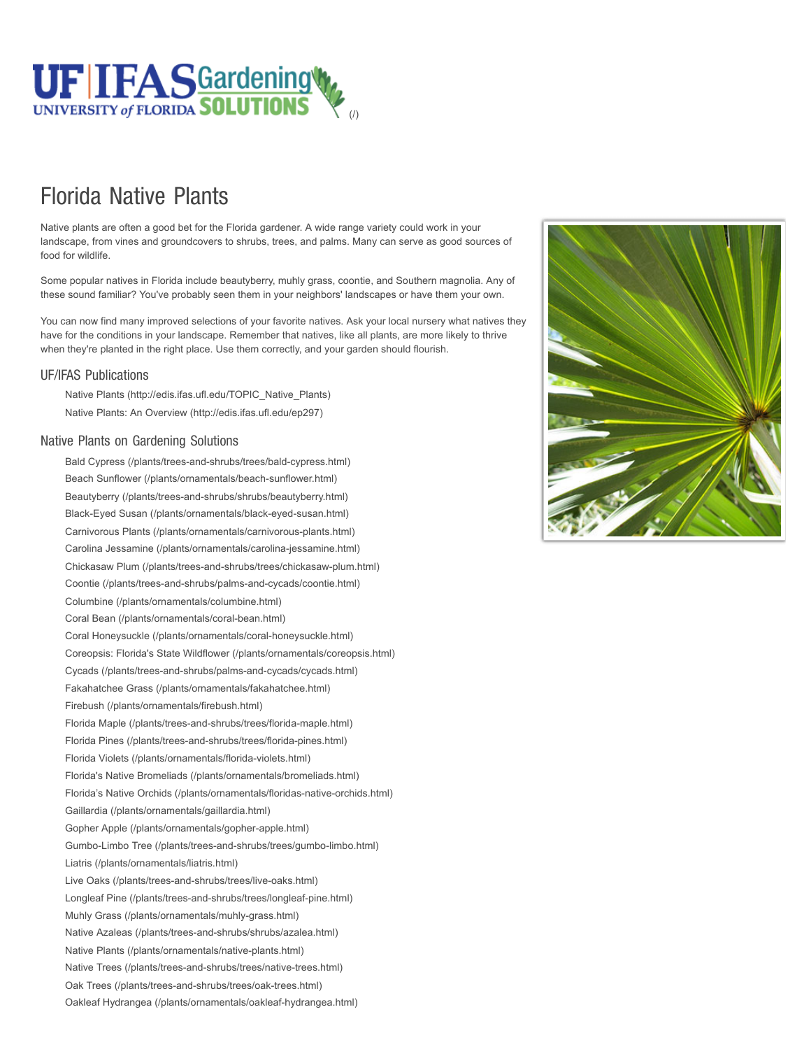

## Florida Native Plants

Native plants are often a good bet for the Florida gardener. A wide range variety could work in your landscape, from vines and groundcovers to shrubs, trees, and palms. Many can serve as good sources of food for wildlife.

Some popular natives in Florida include beautyberry, muhly grass, coontie, and Southern magnolia. Any of these sound familiar? You've probably seen them in your neighbors' landscapes or have them your own.

You can now find many improved selections of your favorite natives. Ask your local nursery what natives they have for the conditions in your landscape. Remember that natives, like all plants, are more likely to thrive when they're planted in the right place. Use them correctly, and your garden should flourish.

## UF/IFAS Publications

[Native Plants \(http://edis.ifas.ufl.edu/TOPIC\\_Native\\_Plants\)](http://edis.ifas.ufl.edu/TOPIC_Native_Plants) [Native Plants: An Overview \(http://edis.ifas.ufl.edu/ep297\)](http://edis.ifas.ufl.edu/ep297)

## Native Plants on Gardening Solutions

[Bald Cypress \(/plants/trees-and-shrubs/trees/bald-cypress.html\)](https://gardeningsolutions.ifas.ufl.edu/plants/trees-and-shrubs/trees/bald-cypress.html) [Beach Sunflower \(/plants/ornamentals/beach-sunflower.html\)](https://gardeningsolutions.ifas.ufl.edu/plants/ornamentals/beach-sunflower.html) [Beautyberry \(/plants/trees-and-shrubs/shrubs/beautyberry.html\)](https://gardeningsolutions.ifas.ufl.edu/plants/trees-and-shrubs/shrubs/beautyberry.html) [Black-Eyed Susan \(/plants/ornamentals/black-eyed-susan.html\)](https://gardeningsolutions.ifas.ufl.edu/plants/ornamentals/black-eyed-susan.html) [Carnivorous Plants \(/plants/ornamentals/carnivorous-plants.html\)](https://gardeningsolutions.ifas.ufl.edu/plants/ornamentals/carnivorous-plants.html) [Carolina Jessamine \(/plants/ornamentals/carolina-jessamine.html\)](https://gardeningsolutions.ifas.ufl.edu/plants/ornamentals/carolina-jessamine.html) [Chickasaw Plum \(/plants/trees-and-shrubs/trees/chickasaw-plum.html\)](https://gardeningsolutions.ifas.ufl.edu/plants/trees-and-shrubs/trees/chickasaw-plum.html) [Coontie \(/plants/trees-and-shrubs/palms-and-cycads/coontie.html\)](https://gardeningsolutions.ifas.ufl.edu/plants/trees-and-shrubs/palms-and-cycads/coontie.html) [Columbine \(/plants/ornamentals/columbine.html\)](https://gardeningsolutions.ifas.ufl.edu/plants/ornamentals/columbine.html) [Coral Bean \(/plants/ornamentals/coral-bean.html\)](https://gardeningsolutions.ifas.ufl.edu/plants/ornamentals/coral-bean.html) [Coral Honeysuckle \(/plants/ornamentals/coral-honeysuckle.html\)](https://gardeningsolutions.ifas.ufl.edu/plants/ornamentals/coral-honeysuckle.html) [Coreopsis: Florida's State Wildflower \(/plants/ornamentals/coreopsis.html\)](https://gardeningsolutions.ifas.ufl.edu/plants/ornamentals/coreopsis.html) [Cycads \(/plants/trees-and-shrubs/palms-and-cycads/cycads.html\)](https://gardeningsolutions.ifas.ufl.edu/plants/trees-and-shrubs/palms-and-cycads/cycads.html) [Fakahatchee Grass \(/plants/ornamentals/fakahatchee.html\)](https://gardeningsolutions.ifas.ufl.edu/plants/ornamentals/fakahatchee.html) [Firebush \(/plants/ornamentals/firebush.html\)](https://gardeningsolutions.ifas.ufl.edu/plants/ornamentals/firebush.html) [Florida Maple \(/plants/trees-and-shrubs/trees/florida-maple.html\)](https://gardeningsolutions.ifas.ufl.edu/plants/trees-and-shrubs/trees/florida-maple.html) [Florida Pines \(/plants/trees-and-shrubs/trees/florida-pines.html\)](https://gardeningsolutions.ifas.ufl.edu/plants/trees-and-shrubs/trees/florida-pines.html) [Florida Violets \(/plants/ornamentals/florida-violets.html\)](https://gardeningsolutions.ifas.ufl.edu/plants/ornamentals/florida-violets.html) [Florida's Native Bromeliads \(/plants/ornamentals/bromeliads.html\)](https://gardeningsolutions.ifas.ufl.edu/plants/ornamentals/bromeliads.html) [Florida's Native Orchids \(/plants/ornamentals/floridas-native-orchids.html\)](https://gardeningsolutions.ifas.ufl.edu/plants/ornamentals/floridas-native-orchids.html) [Gaillardia \(/plants/ornamentals/gaillardia.html\)](https://gardeningsolutions.ifas.ufl.edu/plants/ornamentals/gaillardia.html) [Gopher Apple \(/plants/ornamentals/gopher-apple.html\)](https://gardeningsolutions.ifas.ufl.edu/plants/ornamentals/gopher-apple.html) [Gumbo-Limbo Tree \(/plants/trees-and-shrubs/trees/gumbo-limbo.html\)](https://gardeningsolutions.ifas.ufl.edu/plants/trees-and-shrubs/trees/gumbo-limbo.html) [Liatris \(/plants/ornamentals/liatris.html\)](https://gardeningsolutions.ifas.ufl.edu/plants/ornamentals/liatris.html) [Live Oaks \(/plants/trees-and-shrubs/trees/live-oaks.html\)](https://gardeningsolutions.ifas.ufl.edu/plants/trees-and-shrubs/trees/live-oaks.html) [Longleaf Pine \(/plants/trees-and-shrubs/trees/longleaf-pine.html\)](https://gardeningsolutions.ifas.ufl.edu/plants/trees-and-shrubs/trees/longleaf-pine.html) [Muhly Grass \(/plants/ornamentals/muhly-grass.html\)](https://gardeningsolutions.ifas.ufl.edu/plants/ornamentals/muhly-grass.html) [Native Azaleas \(/plants/trees-and-shrubs/shrubs/azalea.html\)](https://gardeningsolutions.ifas.ufl.edu/plants/trees-and-shrubs/shrubs/azalea.html) [Native Plants \(/plants/ornamentals/native-plants.html\)](https://gardeningsolutions.ifas.ufl.edu/plants/ornamentals/native-plants.html) [Native Trees \(/plants/trees-and-shrubs/trees/native-trees.html\)](https://gardeningsolutions.ifas.ufl.edu/plants/trees-and-shrubs/trees/native-trees.html) [Oak Trees \(/plants/trees-and-shrubs/trees/oak-trees.html\)](https://gardeningsolutions.ifas.ufl.edu/plants/trees-and-shrubs/trees/oak-trees.html) [Oakleaf Hydrangea \(/plants/ornamentals/oakleaf-hydrangea.html\)](https://gardeningsolutions.ifas.ufl.edu/plants/ornamentals/oakleaf-hydrangea.html)